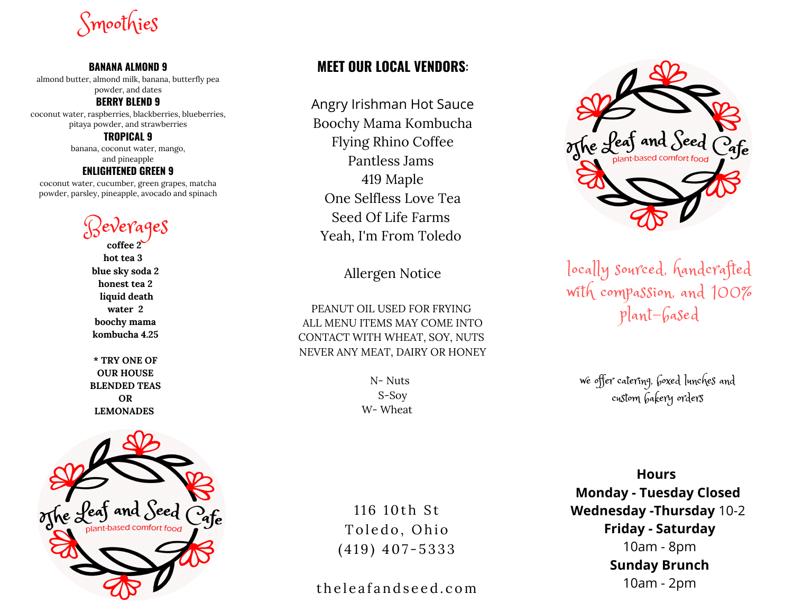Smoothies

#### **BANANA ALMOND 9**

almond butter, almond milk, banana, butterfly pea powder, and dates

#### **BERRY BLEND 9**

coconut water, raspberries, blackberries, blueberries, pitaya powder, and strawberries

#### **TROPICAL 9**

banana, coconut water, mango, and pineapple

#### **ENLIGHTENED GREEN 9**

coconut water, cucumber, green grapes, matcha powder, parsley, pineapple, avocado and spinach

Beverages

**coffee 2 hot tea 3 blue sky soda 2 honest tea 2 liquid death water 2 boochy mama kombucha 4.25**

**\* TRY ONE OF OUR HOUSE BLENDED TEAS OR LEMONADES**



### **MEET OUR LOCAL VENDORS**:

Angry Irishman Hot Sauce Boochy Mama Kombucha Flying Rhino Coffee Pantless Jams 419 Maple One Selfless Love Tea Seed Of Life Farms Yeah, I'm From Toledo

#### Allergen Notice

PEANUT OIL USED FOR FRYING ALL MENU ITEMS MAY COME INTO CONTACT WITH WHEAT, SOY, NUTS NEVER ANY MEAT, DAIRY OR HONEY

> N- Nuts S-Soy W- Wheat

116 10th St Toledo, Ohio  $(419)$  407-5333

the leafand seed.com



locally sourced, handcrafted with compassion, and 100% plant-based

we offer catering, boxed lunches and custom bakery orders

**Hours Monday - Tuesday Closed Wednesday -Thursday** 10-2 **Friday - Saturday** 10am - 8pm **Sunday Brunch** 10am - 2pm